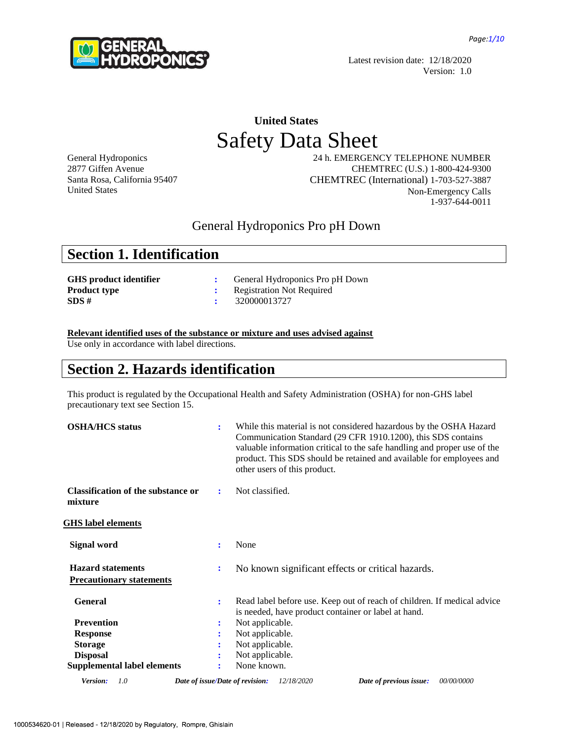

Latest revision date: 12/18/2020 Version: 1.0

# **United States** Safety Data Sheet

General Hydroponics 2877 Giffen Avenue Santa Rosa, California 95407 United States

24 h. EMERGENCY TELEPHONE NUMBER CHEMTREC (U.S.) 1-800-424-9300 CHEMTREC (International) 1-703-527-3887 Non-Emergency Calls 1-937-644-0011

### General Hydroponics Pro pH Down

|  | <b>Section 1. Identification</b> |
|--|----------------------------------|
|--|----------------------------------|

| <b>GHS</b> product identifier | General Hydroponics Pro pH Down  |
|-------------------------------|----------------------------------|
| <b>Product type</b>           | <b>Registration Not Required</b> |
| SDS#                          | 320000013727                     |

**Relevant identified uses of the substance or mixture and uses advised against**

Use only in accordance with label directions.

### **Section 2. Hazards identification**

This product is regulated by the Occupational Health and Safety Administration (OSHA) for non-GHS label precautionary text see Section 15.

| <b>OSHA/HCS</b> status                                      | ÷              | While this material is not considered hazardous by the OSHA Hazard<br>Communication Standard (29 CFR 1910.1200), this SDS contains<br>valuable information critical to the safe handling and proper use of the<br>product. This SDS should be retained and available for employees and<br>other users of this product. |
|-------------------------------------------------------------|----------------|------------------------------------------------------------------------------------------------------------------------------------------------------------------------------------------------------------------------------------------------------------------------------------------------------------------------|
| <b>Classification of the substance or</b><br>mixture        | ÷              | Not classified.                                                                                                                                                                                                                                                                                                        |
| <b>GHS</b> label elements                                   |                |                                                                                                                                                                                                                                                                                                                        |
| Signal word                                                 | ÷              | None                                                                                                                                                                                                                                                                                                                   |
| <b>Hazard statements</b><br><b>Precautionary statements</b> | ÷              | No known significant effects or critical hazards.                                                                                                                                                                                                                                                                      |
| <b>General</b>                                              | $\ddot{\cdot}$ | Read label before use. Keep out of reach of children. If medical advice<br>is needed, have product container or label at hand.                                                                                                                                                                                         |
| <b>Prevention</b>                                           | ÷              | Not applicable.                                                                                                                                                                                                                                                                                                        |
| <b>Response</b>                                             | :              | Not applicable.                                                                                                                                                                                                                                                                                                        |
| <b>Storage</b>                                              |                | Not applicable.                                                                                                                                                                                                                                                                                                        |
| <b>Disposal</b>                                             |                | Not applicable.                                                                                                                                                                                                                                                                                                        |
| <b>Supplemental label elements</b>                          |                | None known.                                                                                                                                                                                                                                                                                                            |
| Version:<br>1.0                                             |                | 00/00/0000<br>Date of issue/Date of revision:<br>12/18/2020<br>Date of previous issue:                                                                                                                                                                                                                                 |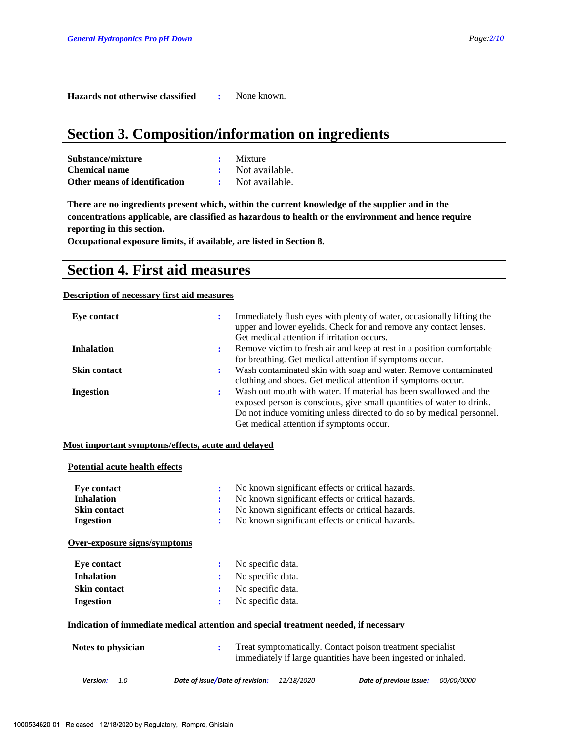**Hazards not otherwise classified :** None known.

# **Section 3. Composition/information on ingredients**

| Substance/mixture             | Mixture        |
|-------------------------------|----------------|
| <b>Chemical name</b>          | Not available. |
| Other means of identification | Not available. |

**There are no ingredients present which, within the current knowledge of the supplier and in the concentrations applicable, are classified as hazardous to health or the environment and hence require reporting in this section.**

**Occupational exposure limits, if available, are listed in Section 8.**

### **Section 4. First aid measures**

#### **Description of necessary first aid measures**

| Eye contact         |           | Immediately flush eyes with plenty of water, occasionally lifting the<br>upper and lower eyelids. Check for and remove any contact lenses.<br>Get medical attention if irritation occurs.                                                                       |
|---------------------|-----------|-----------------------------------------------------------------------------------------------------------------------------------------------------------------------------------------------------------------------------------------------------------------|
| <b>Inhalation</b>   | ÷         | Remove victim to fresh air and keep at rest in a position comfortable                                                                                                                                                                                           |
| <b>Skin contact</b> | $\bullet$ | for breathing. Get medical attention if symptoms occur.<br>Wash contaminated skin with soap and water. Remove contaminated                                                                                                                                      |
|                     |           | clothing and shoes. Get medical attention if symptoms occur.                                                                                                                                                                                                    |
| Ingestion           |           | Wash out mouth with water. If material has been swallowed and the<br>exposed person is conscious, give small quantities of water to drink.<br>Do not induce vomiting unless directed to do so by medical personnel.<br>Get medical attention if symptoms occur. |

#### **Most important symptoms/effects, acute and delayed**

### **Potential acute health effects**

| Eye contact<br><b>Inhalation</b><br><b>Skin contact</b><br>Ingestion                                                                                                          | ÷<br>$\ddot{\cdot}$<br>÷<br>٠   | No known significant effects or critical hazards.<br>No known significant effects or critical hazards.<br>No known significant effects or critical hazards.<br>No known significant effects or critical hazards. |                         |                   |
|-------------------------------------------------------------------------------------------------------------------------------------------------------------------------------|---------------------------------|------------------------------------------------------------------------------------------------------------------------------------------------------------------------------------------------------------------|-------------------------|-------------------|
| Over-exposure signs/symptoms                                                                                                                                                  |                                 |                                                                                                                                                                                                                  |                         |                   |
| Eye contact                                                                                                                                                                   | No specific data.<br>÷          |                                                                                                                                                                                                                  |                         |                   |
| <b>Inhalation</b>                                                                                                                                                             | No specific data.<br>÷          |                                                                                                                                                                                                                  |                         |                   |
| <b>Skin contact</b>                                                                                                                                                           | No specific data.<br>÷          |                                                                                                                                                                                                                  |                         |                   |
| Ingestion                                                                                                                                                                     | No specific data.<br>÷          |                                                                                                                                                                                                                  |                         |                   |
| Indication of immediate medical attention and special treatment needed, if necessary<br>Notes to physician<br>Treat symptomatically. Contact poison treatment specialist<br>÷ |                                 |                                                                                                                                                                                                                  |                         |                   |
| Version:<br>1.0                                                                                                                                                               | Date of issue/Date of revision: | immediately if large quantities have been ingested or inhaled.<br>12/18/2020                                                                                                                                     | Date of previous issue: | <i>00/00/0000</i> |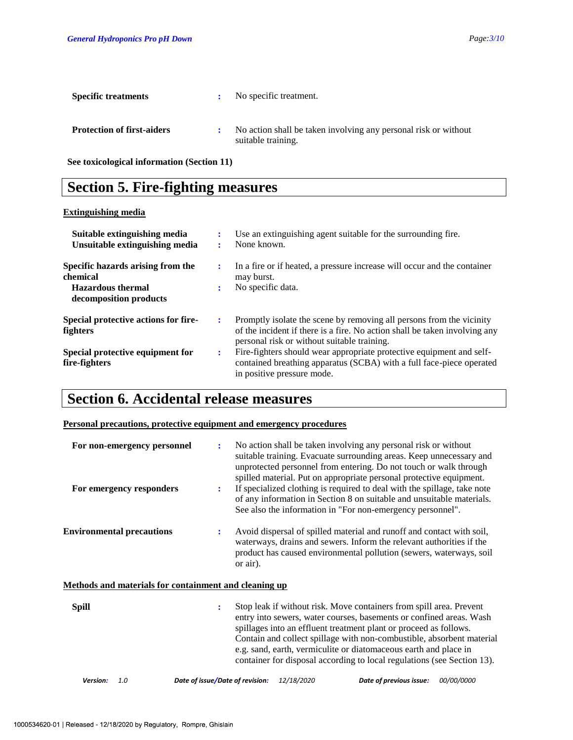| <b>Specific treatments</b>        | No specific treatment.                                                                |
|-----------------------------------|---------------------------------------------------------------------------------------|
| <b>Protection of first-aiders</b> | No action shall be taken involving any personal risk or without<br>suitable training. |

**See toxicological information (Section 11)**

# **Section 5. Fire-fighting measures**

### **Extinguishing media**

| Suitable extinguishing media<br>Unsuitable extinguishing media                                      |   | Use an extinguishing agent suitable for the surrounding fire.<br>None known.                                                                                                                      |
|-----------------------------------------------------------------------------------------------------|---|---------------------------------------------------------------------------------------------------------------------------------------------------------------------------------------------------|
| Specific hazards arising from the<br>chemical<br><b>Hazardous</b> thermal<br>decomposition products |   | In a fire or if heated, a pressure increase will occur and the container<br>may burst.<br>No specific data.                                                                                       |
| Special protective actions for fire-<br><b>fighters</b>                                             | ÷ | Promptly isolate the scene by removing all persons from the vicinity<br>of the incident if there is a fire. No action shall be taken involving any<br>personal risk or without suitable training. |
| Special protective equipment for<br>fire-fighters                                                   | ÷ | Fire-fighters should wear appropriate protective equipment and self-<br>contained breathing apparatus (SCBA) with a full face-piece operated<br>in positive pressure mode.                        |

# **Section 6. Accidental release measures**

### **Personal precautions, protective equipment and emergency procedures**

| For non-emergency personnel<br>For emergency responders | $\ddot{\cdot}$<br>$\ddot{\phantom{a}}$ | No action shall be taken involving any personal risk or without<br>suitable training. Evacuate surrounding areas. Keep unnecessary and<br>unprotected personnel from entering. Do not touch or walk through<br>spilled material. Put on appropriate personal protective equipment.<br>If specialized clothing is required to deal with the spillage, take note<br>of any information in Section 8 on suitable and unsuitable materials.<br>See also the information in "For non-emergency personnel". |
|---------------------------------------------------------|----------------------------------------|-------------------------------------------------------------------------------------------------------------------------------------------------------------------------------------------------------------------------------------------------------------------------------------------------------------------------------------------------------------------------------------------------------------------------------------------------------------------------------------------------------|
| <b>Environmental precautions</b>                        | ÷                                      | Avoid dispersal of spilled material and runoff and contact with soil,<br>waterways, drains and sewers. Inform the relevant authorities if the<br>product has caused environmental pollution (sewers, waterways, soil<br>or air).                                                                                                                                                                                                                                                                      |
| Methods and materials for containment and cleaning up   |                                        |                                                                                                                                                                                                                                                                                                                                                                                                                                                                                                       |
| <b>Spill</b>                                            | ÷                                      | Stop leak if without risk. Move containers from spill area. Prevent<br>entry into sewers, water courses, basements or confined areas. Wash<br>spillages into an effluent treatment plant or proceed as follows.                                                                                                                                                                                                                                                                                       |

Contain and collect spillage with non-combustible, absorbent material e.g. sand, earth, vermiculite or diatomaceous earth and place in container for disposal according to local regulations (see Section 13).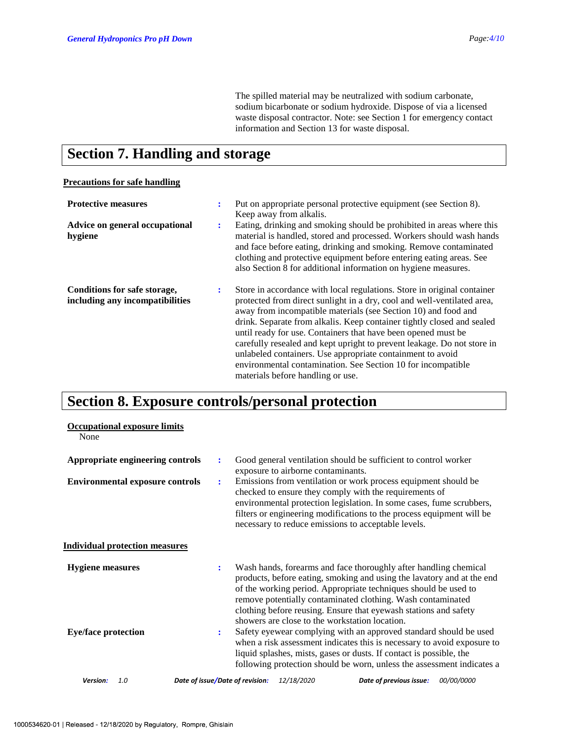The spilled material may be neutralized with sodium carbonate, sodium bicarbonate or sodium hydroxide. Dispose of via a licensed waste disposal contractor. Note: see Section 1 for emergency contact information and Section 13 for waste disposal.

### **Section 7. Handling and storage**

### **Precautions for safe handling**

| <b>Protective measures</b>                                      | ÷ | Put on appropriate personal protective equipment (see Section 8).<br>Keep away from alkalis.                                                                                                                                                                                                                                                                                                                                                                                                                                                                                                                  |
|-----------------------------------------------------------------|---|---------------------------------------------------------------------------------------------------------------------------------------------------------------------------------------------------------------------------------------------------------------------------------------------------------------------------------------------------------------------------------------------------------------------------------------------------------------------------------------------------------------------------------------------------------------------------------------------------------------|
| Advice on general occupational<br>hygiene                       | ÷ | Eating, drinking and smoking should be prohibited in areas where this<br>material is handled, stored and processed. Workers should wash hands<br>and face before eating, drinking and smoking. Remove contaminated<br>clothing and protective equipment before entering eating areas. See<br>also Section 8 for additional information on hygiene measures.                                                                                                                                                                                                                                                   |
| Conditions for safe storage,<br>including any incompatibilities | ÷ | Store in accordance with local regulations. Store in original container<br>protected from direct sunlight in a dry, cool and well-ventilated area,<br>away from incompatible materials (see Section 10) and food and<br>drink. Separate from alkalis. Keep container tightly closed and sealed<br>until ready for use. Containers that have been opened must be<br>carefully resealed and kept upright to prevent leakage. Do not store in<br>unlabeled containers. Use appropriate containment to avoid<br>environmental contamination. See Section 10 for incompatible<br>materials before handling or use. |

# **Section 8. Exposure controls/personal protection**

| <b>Occupational exposure limits</b><br>None |                                                                                                                                                                                                                                                                                                                                                                                                                      |
|---------------------------------------------|----------------------------------------------------------------------------------------------------------------------------------------------------------------------------------------------------------------------------------------------------------------------------------------------------------------------------------------------------------------------------------------------------------------------|
| Appropriate engineering controls            | Good general ventilation should be sufficient to control worker<br>÷<br>exposure to airborne contaminants.                                                                                                                                                                                                                                                                                                           |
| <b>Environmental exposure controls</b>      | Emissions from ventilation or work process equipment should be<br>$\ddot{\cdot}$<br>checked to ensure they comply with the requirements of<br>environmental protection legislation. In some cases, fume scrubbers,<br>filters or engineering modifications to the process equipment will be<br>necessary to reduce emissions to acceptable levels.                                                                   |
| <b>Individual protection measures</b>       |                                                                                                                                                                                                                                                                                                                                                                                                                      |
| <b>Hygiene measures</b>                     | Wash hands, forearms and face thoroughly after handling chemical<br>$\ddot{\cdot}$<br>products, before eating, smoking and using the lavatory and at the end<br>of the working period. Appropriate techniques should be used to<br>remove potentially contaminated clothing. Wash contaminated<br>clothing before reusing. Ensure that eyewash stations and safety<br>showers are close to the workstation location. |
| <b>Eye/face protection</b>                  | Safety eyewear complying with an approved standard should be used<br>$\ddot{\cdot}$<br>when a risk assessment indicates this is necessary to avoid exposure to<br>liquid splashes, mists, gases or dusts. If contact is possible, the<br>following protection should be worn, unless the assessment indicates a                                                                                                      |
| Version:<br>1.0                             | Date of issue/Date of revision:<br>12/18/2020<br>Date of previous issue:<br>00/00/0000                                                                                                                                                                                                                                                                                                                               |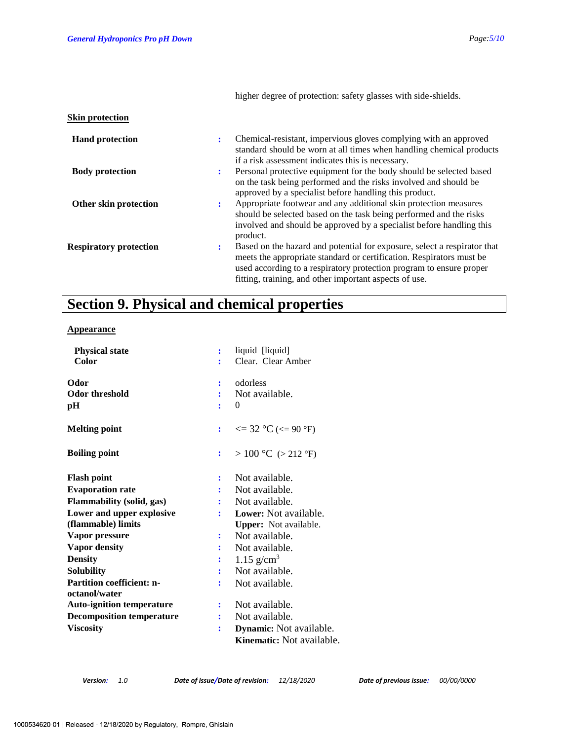|                               | higher degree of protection: safety glasses with side-shields.                                                                                                                                                                                                                         |
|-------------------------------|----------------------------------------------------------------------------------------------------------------------------------------------------------------------------------------------------------------------------------------------------------------------------------------|
| <b>Skin protection</b>        |                                                                                                                                                                                                                                                                                        |
| <b>Hand protection</b>        | Chemical-resistant, impervious gloves complying with an approved<br>÷<br>standard should be worn at all times when handling chemical products<br>if a risk assessment indicates this is necessary.                                                                                     |
| <b>Body protection</b>        | Personal protective equipment for the body should be selected based<br>$\ddot{\cdot}$<br>on the task being performed and the risks involved and should be<br>approved by a specialist before handling this product.                                                                    |
| Other skin protection         | Appropriate footwear and any additional skin protection measures<br>÷<br>should be selected based on the task being performed and the risks<br>involved and should be approved by a specialist before handling this<br>product.                                                        |
| <b>Respiratory protection</b> | Based on the hazard and potential for exposure, select a respirator that<br>:<br>meets the appropriate standard or certification. Respirators must be<br>used according to a respiratory protection program to ensure proper<br>fitting, training, and other important aspects of use. |

# **Section 9. Physical and chemical properties**

### **Appearance**

| <b>Physical state</b>                             | ÷              | liquid [liquid]                  |
|---------------------------------------------------|----------------|----------------------------------|
| Color                                             |                | Clear. Clear Amber               |
| Odor                                              |                | odorless                         |
| <b>Odor threshold</b>                             |                | Not available.                   |
| рH                                                |                | $\Omega$                         |
| <b>Melting point</b>                              | ÷              | $\leq$ 32 °C ( $\leq$ 90 °F)     |
| <b>Boiling point</b>                              | $\ddot{\cdot}$ | $> 100$ °C ( $> 212$ °F)         |
| <b>Flash point</b>                                |                | Not available.                   |
| <b>Evaporation rate</b>                           |                | Not available.                   |
| <b>Flammability (solid, gas)</b>                  |                | Not available.                   |
| Lower and upper explosive                         |                | Lower: Not available.            |
| (flammable) limits                                |                | <b>Upper:</b> Not available.     |
| Vapor pressure                                    | ÷              | Not available.                   |
| <b>Vapor density</b>                              |                | Not available.                   |
| <b>Density</b>                                    |                | 1.15 $g/cm^3$                    |
| <b>Solubility</b>                                 | ÷              | Not available.                   |
| <b>Partition coefficient: n-</b><br>octanol/water | ÷              | Not available.                   |
| <b>Auto-ignition temperature</b>                  |                | Not available.                   |
| <b>Decomposition temperature</b>                  |                | Not available.                   |
| <b>Viscosity</b>                                  |                |                                  |
|                                                   | :              | Dynamic: Not available.          |
|                                                   |                | <b>Kinematic:</b> Not available. |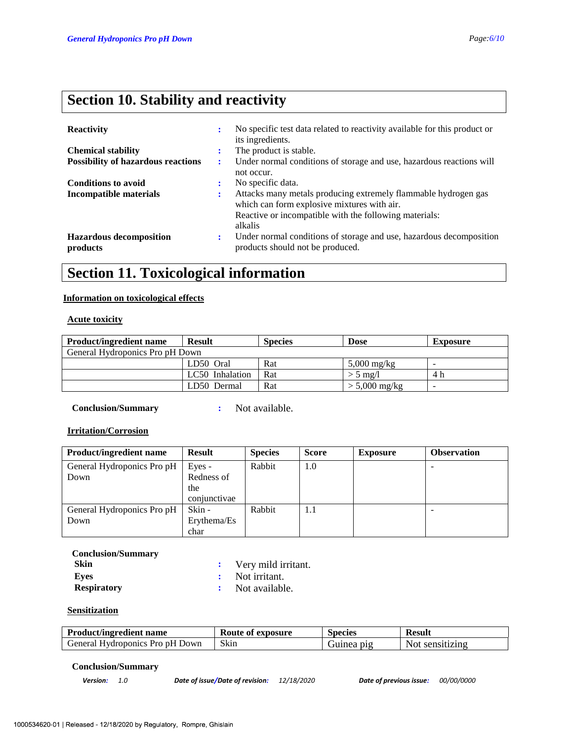# **Section 10. Stability and reactivity**

| <b>Reactivity</b>                          | $\bullet$ | No specific test data related to reactivity available for this product or<br>its ingredients.                                                                           |
|--------------------------------------------|-----------|-------------------------------------------------------------------------------------------------------------------------------------------------------------------------|
| <b>Chemical stability</b>                  |           | The product is stable.                                                                                                                                                  |
| <b>Possibility of hazardous reactions</b>  | ÷         | Under normal conditions of storage and use, hazardous reactions will<br>not occur.                                                                                      |
| <b>Conditions to avoid</b>                 |           | No specific data.                                                                                                                                                       |
| Incompatible materials                     | ÷         | Attacks many metals producing extremely flammable hydrogen gas<br>which can form explosive mixtures with air.<br>Reactive or incompatible with the following materials: |
|                                            |           | alkalis                                                                                                                                                                 |
| <b>Hazardous decomposition</b><br>products | ÷         | Under normal conditions of storage and use, hazardous decomposition<br>products should not be produced.                                                                 |

# **Section 11. Toxicological information**

### **Information on toxicological effects**

### **Acute toxicity**

| <b>Product/ingredient name</b>  | <b>Result</b>   | <b>Species</b> | <b>Dose</b>           | <b>Exposure</b> |  |
|---------------------------------|-----------------|----------------|-----------------------|-----------------|--|
| General Hydroponics Pro pH Down |                 |                |                       |                 |  |
|                                 | LD50 Oral       | Rat            | $5,000 \text{ mg/kg}$ |                 |  |
|                                 | LC50 Inhalation | Rat            | $> 5$ mg/l            | 4 h             |  |
|                                 | LD50 Dermal     | Rat            | $> 5,000$ mg/kg       |                 |  |

 **Conclusion/Summary :** Not available.

### **Irritation/Corrosion**

| <b>Product/ingredient name</b> | <b>Result</b> | <b>Species</b> | Score | <b>Exposure</b> | <b>Observation</b> |
|--------------------------------|---------------|----------------|-------|-----------------|--------------------|
| General Hydroponics Pro pH     | Eyes -        | Rabbit         | 1.0   |                 |                    |
| Down                           | Redness of    |                |       |                 |                    |
|                                | the           |                |       |                 |                    |
|                                | conjunctivae  |                |       |                 |                    |
| General Hydroponics Pro pH     | Skin -        | Rabbit         | 1.1   |                 |                    |
| Down                           | Erythema/Es   |                |       |                 |                    |
|                                | char          |                |       |                 |                    |

 **Conclusion/Summary**

| Skin               | : Very mild irritant. |  |
|--------------------|-----------------------|--|
| Eves               | : Not irritant.       |  |
| <b>Respiratory</b> | Not available.        |  |

### **Sensitization**

| <b>Product/ingredient name</b>  | Route of exposure | Species    | <b>Result</b>   |
|---------------------------------|-------------------|------------|-----------------|
| General Hydroponics Pro pH Down | Skin              | Guinea pig | Not sensitizing |

#### **Conclusion/Summary**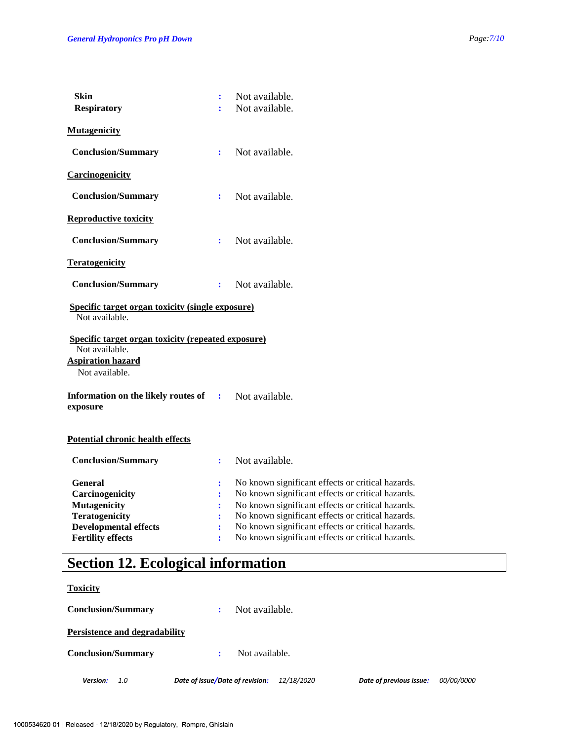| <b>Skin</b><br><b>Respiratory</b>                                                                                                             | ÷<br>÷                                                                                            | Not available.<br>Not available.                                                                                                                                                                                                                                                                                           |
|-----------------------------------------------------------------------------------------------------------------------------------------------|---------------------------------------------------------------------------------------------------|----------------------------------------------------------------------------------------------------------------------------------------------------------------------------------------------------------------------------------------------------------------------------------------------------------------------------|
| <b>Mutagenicity</b>                                                                                                                           |                                                                                                   |                                                                                                                                                                                                                                                                                                                            |
| <b>Conclusion/Summary</b>                                                                                                                     | ÷                                                                                                 | Not available.                                                                                                                                                                                                                                                                                                             |
| <b>Carcinogenicity</b>                                                                                                                        |                                                                                                   |                                                                                                                                                                                                                                                                                                                            |
| <b>Conclusion/Summary</b>                                                                                                                     | ÷                                                                                                 | Not available.                                                                                                                                                                                                                                                                                                             |
| <b>Reproductive toxicity</b>                                                                                                                  |                                                                                                   |                                                                                                                                                                                                                                                                                                                            |
| <b>Conclusion/Summary</b>                                                                                                                     | ÷                                                                                                 | Not available.                                                                                                                                                                                                                                                                                                             |
| <b>Teratogenicity</b>                                                                                                                         |                                                                                                   |                                                                                                                                                                                                                                                                                                                            |
| <b>Conclusion/Summary</b>                                                                                                                     | $\ddot{\cdot}$                                                                                    | Not available.                                                                                                                                                                                                                                                                                                             |
| <b>Specific target organ toxicity (single exposure)</b><br>Not available.                                                                     |                                                                                                   |                                                                                                                                                                                                                                                                                                                            |
| Specific target organ toxicity (repeated exposure)<br>Not available.<br><b>Aspiration hazard</b><br>Not available.                            |                                                                                                   |                                                                                                                                                                                                                                                                                                                            |
| Information on the likely routes of<br>exposure                                                                                               | $\sim 100$                                                                                        | Not available.                                                                                                                                                                                                                                                                                                             |
| <b>Potential chronic health effects</b>                                                                                                       |                                                                                                   |                                                                                                                                                                                                                                                                                                                            |
| <b>Conclusion/Summary</b>                                                                                                                     | ÷                                                                                                 | Not available.                                                                                                                                                                                                                                                                                                             |
| <b>General</b><br>Carcinogenicity<br><b>Mutagenicity</b><br><b>Teratogenicity</b><br><b>Developmental effects</b><br><b>Fertility effects</b> | :<br>$\ddot{\phantom{a}}$<br>$\ddot{\cdot}$<br>$\ddot{\cdot}$<br>$\ddot{\cdot}$<br>$\ddot{\cdot}$ | No known significant effects or critical hazards.<br>No known significant effects or critical hazards.<br>No known significant effects or critical hazards.<br>No known significant effects or critical hazards.<br>No known significant effects or critical hazards.<br>No known significant effects or critical hazards. |

# **Section 12. Ecological information**

### **Toxicity**

*Version: 1.0 Date of issue/Date of revision: 12/18/2020 Date of previous issue: 00/00/0000* **Conclusion/Summary :** Not available. **Persistence and degradability Conclusion/Summary :** Not available.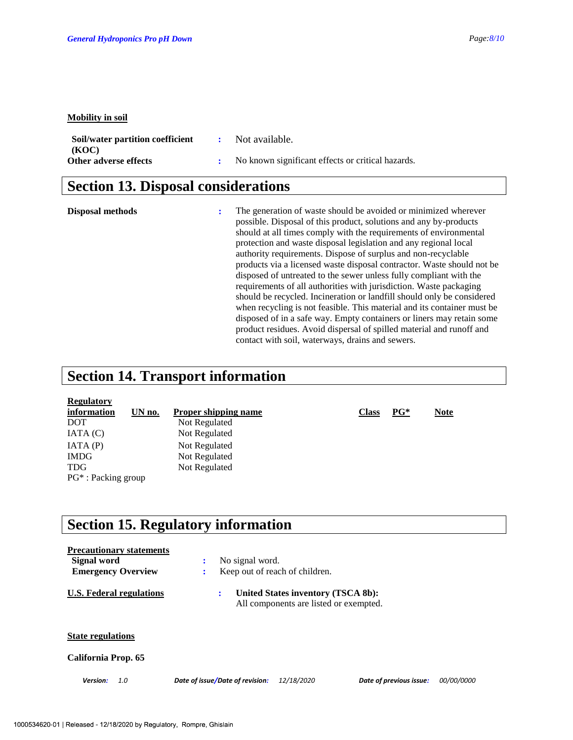#### **Mobility in soil**

| Soil/water partition coefficient | Not available.                                    |
|----------------------------------|---------------------------------------------------|
| (KOC)                            |                                                   |
| Other adverse effects            | No known significant effects or critical hazards. |

### **Section 13. Disposal considerations**

**Disposal methods :** The generation of waste should be avoided or minimized wherever possible. Disposal of this product, solutions and any by-products should at all times comply with the requirements of environmental protection and waste disposal legislation and any regional local authority requirements. Dispose of surplus and non-recyclable products via a licensed waste disposal contractor. Waste should not be disposed of untreated to the sewer unless fully compliant with the requirements of all authorities with jurisdiction. Waste packaging should be recycled. Incineration or landfill should only be considered when recycling is not feasible. This material and its container must be disposed of in a safe way. Empty containers or liners may retain some product residues. Avoid dispersal of spilled material and runoff and contact with soil, waterways, drains and sewers.

### **Section 14. Transport information**

| <b>Regulatory</b>      |        |                             |              |        |             |
|------------------------|--------|-----------------------------|--------------|--------|-------------|
| information            | UN no. | <b>Proper shipping name</b> | <b>Class</b> | $PG^*$ | <b>Note</b> |
| <b>DOT</b>             |        | Not Regulated               |              |        |             |
| IATA(C)                |        | Not Regulated               |              |        |             |
| IATA(P)                |        | Not Regulated               |              |        |             |
| <b>IMDG</b>            |        | Not Regulated               |              |        |             |
| <b>TDG</b>             |        | Not Regulated               |              |        |             |
| $PG^*$ : Packing group |        |                             |              |        |             |

### **Section 15. Regulatory information**

| Signal word              | <b>Precautionary statements</b><br><b>Emergency Overview</b> | No signal word.<br>÷            | Keep out of reach of children.                                               |                         |                   |
|--------------------------|--------------------------------------------------------------|---------------------------------|------------------------------------------------------------------------------|-------------------------|-------------------|
|                          | U.S. Federal regulations                                     | ÷                               | United States inventory (TSCA 8b):<br>All components are listed or exempted. |                         |                   |
| <b>State regulations</b> |                                                              |                                 |                                                                              |                         |                   |
| California Prop. 65      |                                                              |                                 |                                                                              |                         |                   |
| Version:                 | 1.0                                                          | Date of issue/Date of revision: | 12/18/2020                                                                   | Date of previous issue: | <i>00/00/0000</i> |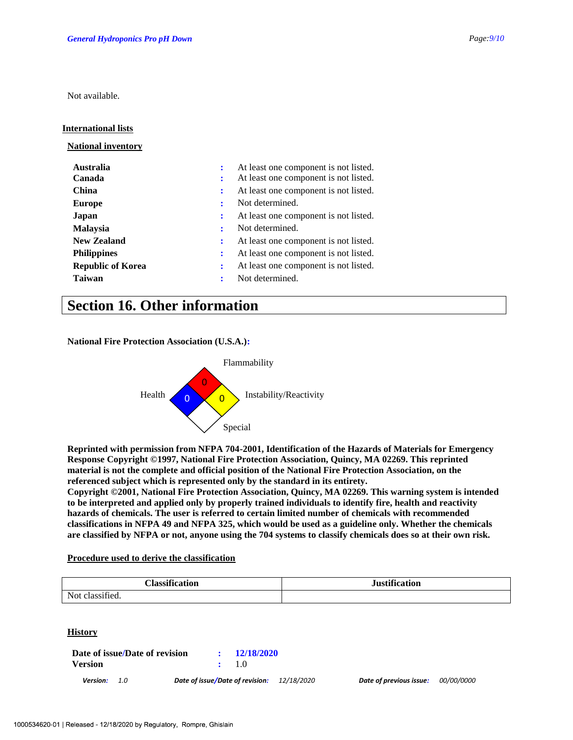Not available.

### **International lists**

**National inventory**

| <b>Australia</b>         | At least one component is not listed.                         |
|--------------------------|---------------------------------------------------------------|
| Canada                   | At least one component is not listed.                         |
| China                    | At least one component is not listed.<br>÷                    |
| <b>Europe</b>            | Not determined.                                               |
| Japan                    | At least one component is not listed.<br>÷                    |
| <b>Malaysia</b>          | Not determined.<br>÷                                          |
| <b>New Zealand</b>       | At least one component is not listed.                         |
| <b>Philippines</b>       | At least one component is not listed.<br>$\ddot{\phantom{a}}$ |
| <b>Republic of Korea</b> | At least one component is not listed.<br>÷                    |
| <b>Taiwan</b>            | Not determined.<br>÷                                          |

### **Section 16. Other information**

**National Fire Protection Association (U.S.A.):**



**Reprinted with permission from NFPA 704-2001, Identification of the Hazards of Materials for Emergency Response Copyright ©1997, National Fire Protection Association, Quincy, MA 02269. This reprinted material is not the complete and official position of the National Fire Protection Association, on the referenced subject which is represented only by the standard in its entirety.**

**Copyright ©2001, National Fire Protection Association, Quincy, MA 02269. This warning system is intended to be interpreted and applied only by properly trained individuals to identify fire, health and reactivity hazards of chemicals. The user is referred to certain limited number of chemicals with recommended classifications in NFPA 49 and NFPA 325, which would be used as a guideline only. Whether the chemicals are classified by NFPA or not, anyone using the 704 systems to classify chemicals does so at their own risk.**

### **Procedure used to derive the classification**

| <b>Classifi</b><br>.<br>-- - -<br>ration | <b>Justification</b><br>$\sim$ |
|------------------------------------------|--------------------------------|
| . .<br>Not.<br>1P                        |                                |

### **History**

| Date of issue/Date of revision | : 12/18/2020 |
|--------------------------------|--------------|
| <b>Version</b>                 | $\div$ 1.0   |
|                                |              |